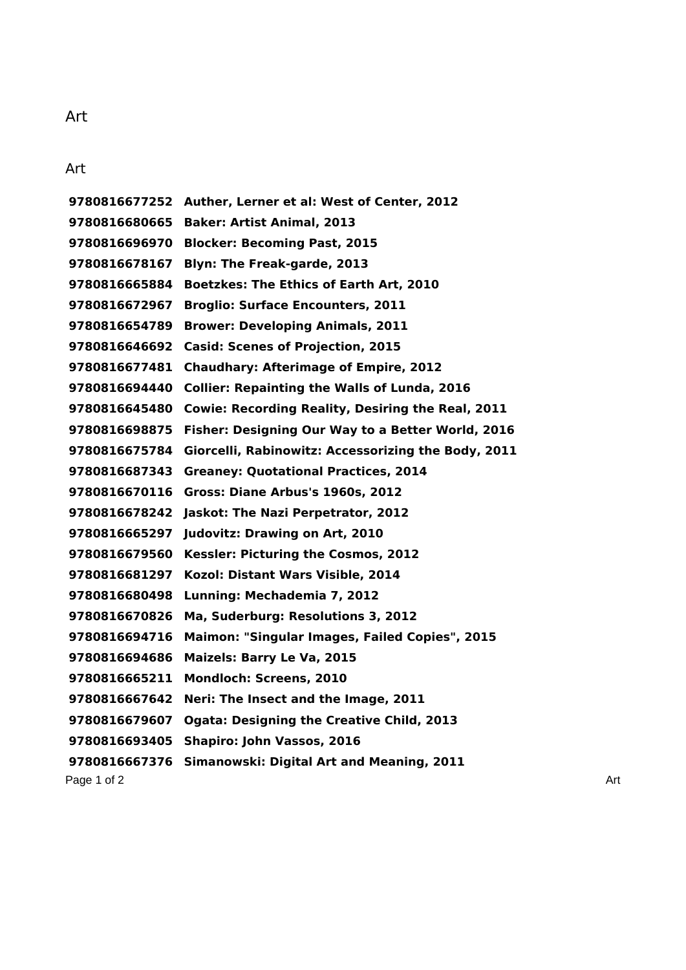## Art

Art

Page 1 of 2 Art **Auther, Lerner et al: West of Center, 2012 Baker: Artist Animal, 2013 Blocker: Becoming Past, 2015 Blyn: The Freak-garde, 2013 Boetzkes: The Ethics of Earth Art, 2010 Broglio: Surface Encounters, 2011 Brower: Developing Animals, 2011 Casid: Scenes of Projection, 2015 Chaudhary: Afterimage of Empire, 2012 Collier: Repainting the Walls of Lunda, 2016 Cowie: Recording Reality, Desiring the Real, 2011 Fisher: Designing Our Way to a Better World, 2016 Giorcelli, Rabinowitz: Accessorizing the Body, 2011 Greaney: Quotational Practices, 2014 Gross: Diane Arbus's 1960s, 2012 Jaskot: The Nazi Perpetrator, 2012 Judovitz: Drawing on Art, 2010 Kessler: Picturing the Cosmos, 2012 Kozol: Distant Wars Visible, 2014 Lunning: Mechademia 7, 2012 Ma, Suderburg: Resolutions 3, 2012 Maimon: "Singular Images, Failed Copies", 2015 Maizels: Barry Le Va, 2015 Mondloch: Screens, 2010 Neri: The Insect and the Image, 2011 Ogata: Designing the Creative Child, 2013 Shapiro: John Vassos, 2016 Simanowski: Digital Art and Meaning, 2011**